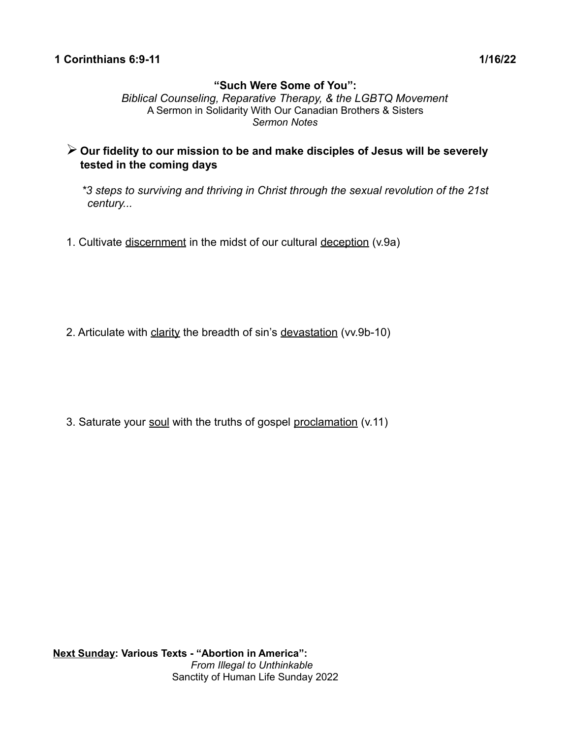# **"Such Were Some of You":**

*Biblical Counseling, Reparative Therapy, & the LGBTQ Movement* A Sermon in Solidarity With Our Canadian Brothers & Sisters *Sermon Notes*

- ➢ **Our fidelity to our mission to be and make disciples of Jesus will be severely tested in the coming days** 
	- *\*3 steps to surviving and thriving in Christ through the sexual revolution of the 21st century...*
- 1. Cultivate discernment in the midst of our cultural deception (v.9a)

2. Articulate with clarity the breadth of sin's devastation (vv.9b-10)

3. Saturate your soul with the truths of gospel proclamation (v.11)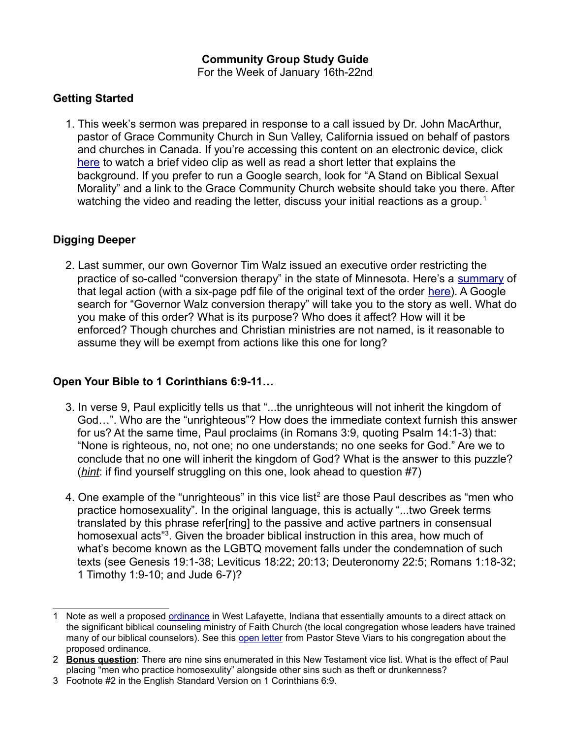# **Community Group Study Guide**

For the Week of January 16th-22nd

### **Getting Started**

1. This week's sermon was prepared in response to a call issued by Dr. John MacArthur, pastor of Grace Community Church in Sun Valley, California issued on behalf of pastors and churches in Canada. If you're accessing this content on an electronic device, click [here](https://www.gracechurch.org/news/posts/2307) to watch a brief video clip as well as read a short letter that explains the background. If you prefer to run a Google search, look for "A Stand on Biblical Sexual Morality" and a link to the Grace Community Church website should take you there. After watching the video and reading the letter, discuss your initial reactions as a group.<sup>[1](#page-1-0)</sup>

### **Digging Deeper**

2. Last summer, our own Governor Tim Walz issued an executive order restricting the practice of so-called "conversion therapy" in the state of Minnesota. Here's a [summary](https://mn.gov/governor/news/?id=1055-489791) of that legal action (with a six-page pdf file of the original text of the order [here\)](https://mn.gov/governor/assets/EO%2021-25%20Final%20Signed%20(002)_tcm1055-489794.pdf). A Google search for "Governor Walz conversion therapy" will take you to the story as well. What do you make of this order? What is its purpose? Who does it affect? How will it be enforced? Though churches and Christian ministries are not named, is it reasonable to assume they will be exempt from actions like this one for long?

# **Open Your Bible to 1 Corinthians 6:9-11…**

- 3. In verse 9, Paul explicitly tells us that "...the unrighteous will not inherit the kingdom of God…". Who are the "unrighteous"? How does the immediate context furnish this answer for us? At the same time, Paul proclaims (in Romans 3:9, quoting Psalm 14:1-3) that: "None is righteous, no, not one; no one understands; no one seeks for God." Are we to conclude that no one will inherit the kingdom of God? What is the answer to this puzzle? (*hint*: if find yourself struggling on this one, look ahead to question #7)
- 4. One example of the "unrighteous" in this vice list<sup>[2](#page-1-1)</sup> are those Paul describes as "men who practice homosexuality". In the original language, this is actually "...two Greek terms translated by this phrase refer[ring] to the passive and active partners in consensual homosexual acts"<sup>[3](#page-1-2)</sup>. Given the broader biblical instruction in this area, how much of what's become known as the LGBTQ movement falls under the condemnation of such texts (see Genesis 19:1-38; Leviticus 18:22; 20:13; Deuteronomy 22:5; Romans 1:18-32; 1 Timothy 1:9-10; and Jude 6-7)?

<span id="page-1-0"></span><sup>1</sup> Note as well a proposed [ordinance](https://www.change.org/p/west-lafayette-city-council-stand-against-the-ordinance) in West Lafayette, Indiana that essentially amounts to a direct attack on the significant biblical counseling ministry of Faith Church (the local congregation whose leaders have trained many of our biblical counselors). See this [open letter](https://blogs.faithlafayette.org/church/an-open-letter-from-pastor-steve-viars-in-regards-to-the-west-lafayette-city-councils-proposed-ordinance-no-31-21/) from Pastor Steve Viars to his congregation about the proposed ordinance.

<span id="page-1-1"></span><sup>2</sup> **Bonus question**: There are nine sins enumerated in this New Testament vice list. What is the effect of Paul placing "men who practice homosexulity" alongside other sins such as theft or drunkenness?

<span id="page-1-2"></span><sup>3</sup> Footnote #2 in the English Standard Version on 1 Corinthians 6:9.